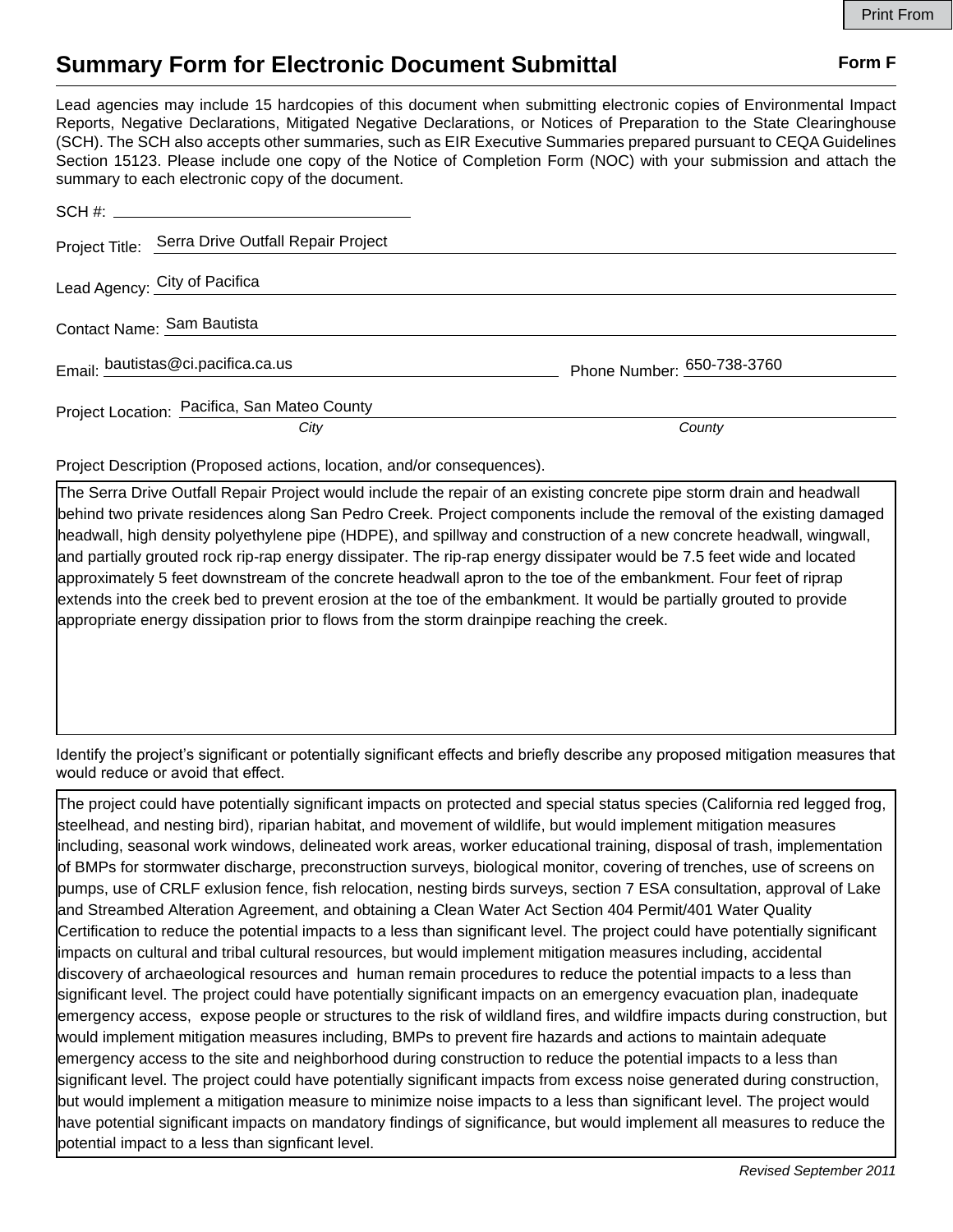## **Summary Form for Electronic Document Submittal Form F Form F**

Lead agencies may include 15 hardcopies of this document when submitting electronic copies of Environmental Impact Reports, Negative Declarations, Mitigated Negative Declarations, or Notices of Preparation to the State Clearinghouse (SCH). The SCH also accepts other summaries, such as EIR Executive Summaries prepared pursuant to CEQA Guidelines Section 15123. Please include one copy of the Notice of Completion Form (NOC) with your submission and attach the summary to each electronic copy of the document.

|                            | Project Title: Serra Drive Outfall Repair Project |                            |
|----------------------------|---------------------------------------------------|----------------------------|
|                            | Lead Agency: City of Pacifica                     |                            |
| Contact Name: Sam Bautista |                                                   |                            |
|                            | Email: bautistas@ci.pacifica.ca.us                | Phone Number: 650-738-3760 |
|                            | Project Location: Pacifica, San Mateo County      |                            |
|                            | City                                              | County                     |

Project Description (Proposed actions, location, and/or consequences).

The Serra Drive Outfall Repair Project would include the repair of an existing concrete pipe storm drain and headwall behind two private residences along San Pedro Creek. Project components include the removal of the existing damaged headwall, high density polyethylene pipe (HDPE), and spillway and construction of a new concrete headwall, wingwall, and partially grouted rock rip-rap energy dissipater. The rip-rap energy dissipater would be 7.5 feet wide and located approximately 5 feet downstream of the concrete headwall apron to the toe of the embankment. Four feet of riprap extends into the creek bed to prevent erosion at the toe of the embankment. It would be partially grouted to provide appropriate energy dissipation prior to flows from the storm drainpipe reaching the creek.

Identify the project's significant or potentially significant effects and briefly describe any proposed mitigation measures that would reduce or avoid that effect.

The project could have potentially significant impacts on protected and special status species (California red legged frog, steelhead, and nesting bird), riparian habitat, and movement of wildlife, but would implement mitigation measures including, seasonal work windows, delineated work areas, worker educational training, disposal of trash, implementation of BMPs for stormwater discharge, preconstruction surveys, biological monitor, covering of trenches, use of screens on pumps, use of CRLF exlusion fence, fish relocation, nesting birds surveys, section 7 ESA consultation, approval of Lake and Streambed Alteration Agreement, and obtaining a Clean Water Act Section 404 Permit/401 Water Quality Certification to reduce the potential impacts to a less than significant level. The project could have potentially significant impacts on cultural and tribal cultural resources, but would implement mitigation measures including, accidental discovery of archaeological resources and human remain procedures to reduce the potential impacts to a less than significant level. The project could have potentially significant impacts on an emergency evacuation plan, inadequate emergency access, expose people or structures to the risk of wildland fires, and wildfire impacts during construction, but would implement mitigation measures including, BMPs to prevent fire hazards and actions to maintain adequate emergency access to the site and neighborhood during construction to reduce the potential impacts to a less than significant level. The project could have potentially significant impacts from excess noise generated during construction, but would implement a mitigation measure to minimize noise impacts to a less than significant level. The project would have potential significant impacts on mandatory findings of significance, but would implement all measures to reduce the potential impact to a less than signficant level.